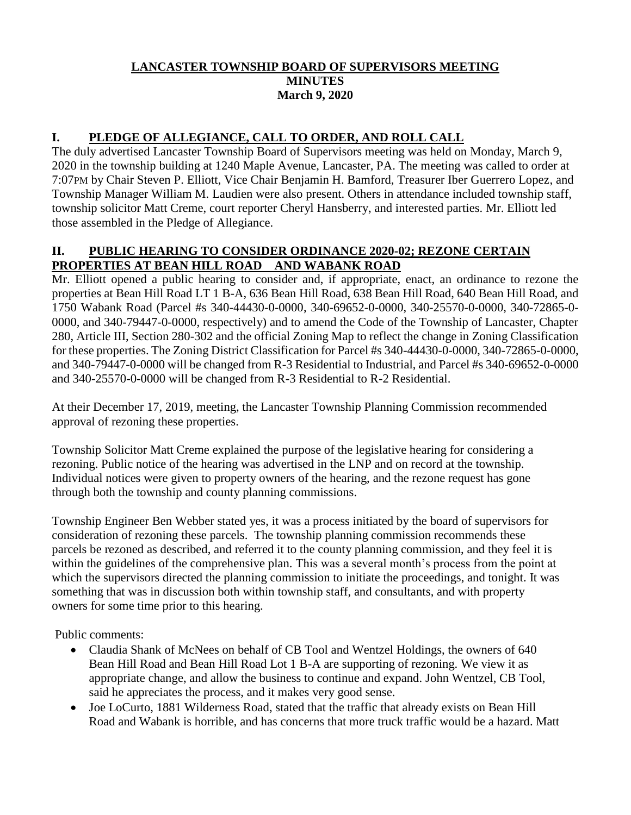#### **LANCASTER TOWNSHIP BOARD OF SUPERVISORS MEETING MINUTES March 9, 2020**

### **I. PLEDGE OF ALLEGIANCE, CALL TO ORDER, AND ROLL CALL**

The duly advertised Lancaster Township Board of Supervisors meeting was held on Monday, March 9, 2020 in the township building at 1240 Maple Avenue, Lancaster, PA. The meeting was called to order at 7:07PM by Chair Steven P. Elliott, Vice Chair Benjamin H. Bamford, Treasurer Iber Guerrero Lopez, and Township Manager William M. Laudien were also present. Others in attendance included township staff, township solicitor Matt Creme, court reporter Cheryl Hansberry, and interested parties. Mr. Elliott led those assembled in the Pledge of Allegiance.

### **II. PUBLIC HEARING TO CONSIDER ORDINANCE 2020-02; REZONE CERTAIN PROPERTIES AT BEAN HILL ROAD AND WABANK ROAD**

Mr. Elliott opened a public hearing to consider and, if appropriate, enact, an ordinance to rezone the properties at Bean Hill Road LT 1 B-A, 636 Bean Hill Road, 638 Bean Hill Road, 640 Bean Hill Road, and 1750 Wabank Road (Parcel #s 340-44430-0-0000, 340-69652-0-0000, 340-25570-0-0000, 340-72865-0- 0000, and 340-79447-0-0000, respectively) and to amend the Code of the Township of Lancaster, Chapter 280, Article III, Section 280-302 and the official Zoning Map to reflect the change in Zoning Classification for these properties. The Zoning District Classification for Parcel #s 340-44430-0-0000, 340-72865-0-0000, and 340-79447-0-0000 will be changed from R-3 Residential to Industrial, and Parcel #s 340-69652-0-0000 and 340-25570-0-0000 will be changed from R-3 Residential to R-2 Residential.

At their December 17, 2019, meeting, the Lancaster Township Planning Commission recommended approval of rezoning these properties.

Township Solicitor Matt Creme explained the purpose of the legislative hearing for considering a rezoning. Public notice of the hearing was advertised in the LNP and on record at the township. Individual notices were given to property owners of the hearing, and the rezone request has gone through both the township and county planning commissions.

Township Engineer Ben Webber stated yes, it was a process initiated by the board of supervisors for consideration of rezoning these parcels. The township planning commission recommends these parcels be rezoned as described, and referred it to the county planning commission, and they feel it is within the guidelines of the comprehensive plan. This was a several month's process from the point at which the supervisors directed the planning commission to initiate the proceedings, and tonight. It was something that was in discussion both within township staff, and consultants, and with property owners for some time prior to this hearing.

Public comments:

- Claudia Shank of McNees on behalf of CB Tool and Wentzel Holdings, the owners of 640 Bean Hill Road and Bean Hill Road Lot 1 B-A are supporting of rezoning. We view it as appropriate change, and allow the business to continue and expand. John Wentzel, CB Tool, said he appreciates the process, and it makes very good sense.
- Joe LoCurto, 1881 Wilderness Road, stated that the traffic that already exists on Bean Hill Road and Wabank is horrible, and has concerns that more truck traffic would be a hazard. Matt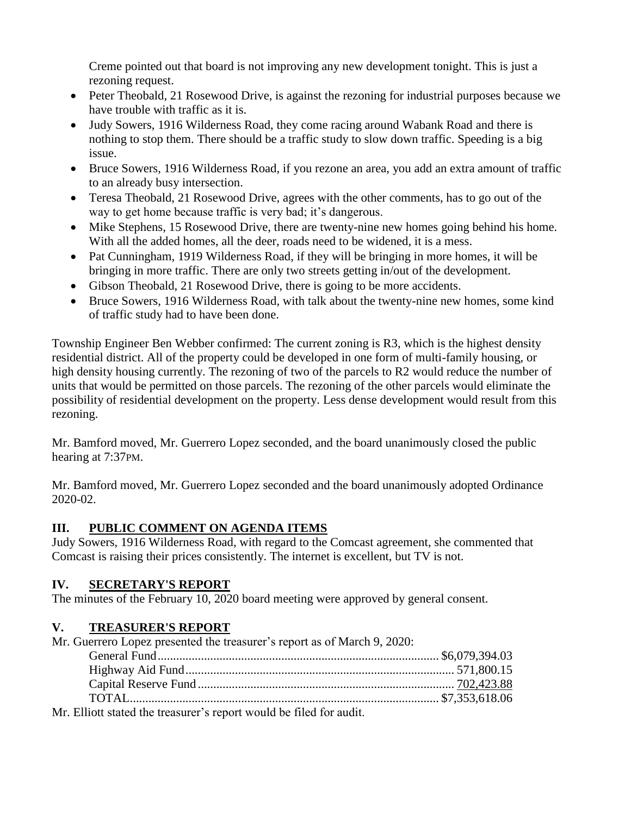Creme pointed out that board is not improving any new development tonight. This is just a rezoning request.

- Peter Theobald, 21 Rosewood Drive, is against the rezoning for industrial purposes because we have trouble with traffic as it is.
- Judy Sowers, 1916 Wilderness Road, they come racing around Wabank Road and there is nothing to stop them. There should be a traffic study to slow down traffic. Speeding is a big issue.
- Bruce Sowers, 1916 Wilderness Road, if you rezone an area, you add an extra amount of traffic to an already busy intersection.
- Teresa Theobald, 21 Rosewood Drive, agrees with the other comments, has to go out of the way to get home because traffic is very bad; it's dangerous.
- Mike Stephens, 15 Rosewood Drive, there are twenty-nine new homes going behind his home. With all the added homes, all the deer, roads need to be widened, it is a mess.
- Pat Cunningham, 1919 Wilderness Road, if they will be bringing in more homes, it will be bringing in more traffic. There are only two streets getting in/out of the development.
- Gibson Theobald, 21 Rosewood Drive, there is going to be more accidents.
- Bruce Sowers, 1916 Wilderness Road, with talk about the twenty-nine new homes, some kind of traffic study had to have been done.

Township Engineer Ben Webber confirmed: The current zoning is R3, which is the highest density residential district. All of the property could be developed in one form of multi-family housing, or high density housing currently. The rezoning of two of the parcels to R2 would reduce the number of units that would be permitted on those parcels. The rezoning of the other parcels would eliminate the possibility of residential development on the property. Less dense development would result from this rezoning.

Mr. Bamford moved, Mr. Guerrero Lopez seconded, and the board unanimously closed the public hearing at 7:37PM.

Mr. Bamford moved, Mr. Guerrero Lopez seconded and the board unanimously adopted Ordinance 2020-02.

# **III. PUBLIC COMMENT ON AGENDA ITEMS**

Judy Sowers, 1916 Wilderness Road, with regard to the Comcast agreement, she commented that Comcast is raising their prices consistently. The internet is excellent, but TV is not.

# **IV. SECRETARY'S REPORT**

The minutes of the February 10, 2020 board meeting were approved by general consent.

# **V. TREASURER'S REPORT**

Mr. Guerrero Lopez presented the treasurer's report as of March 9, 2020:

| $\Lambda_{\rm H}$ . $\Gamma(1)$ , as a state of the state second $\sigma_{\rm H}$ are set as set of $\Gamma(1)$ and $\Gamma(1)$ of $\Gamma_{\rm H}$ are set of the |  |
|--------------------------------------------------------------------------------------------------------------------------------------------------------------------|--|

Mr. Elliott stated the treasurer's report would be filed for audit.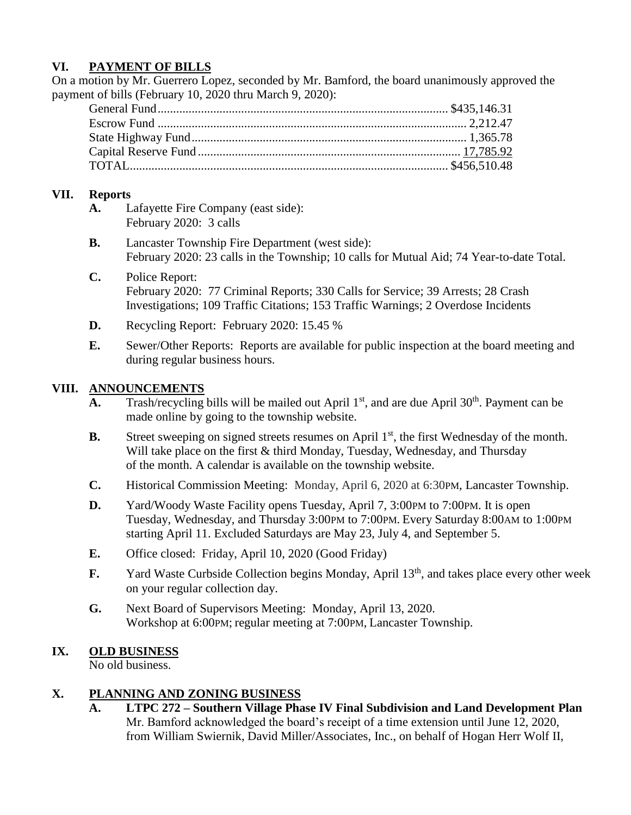### **VI. PAYMENT OF BILLS**

On a motion by Mr. Guerrero Lopez, seconded by Mr. Bamford, the board unanimously approved the payment of bills (February 10, 2020 thru March 9, 2020):

### **VII. Reports**

- **A.** Lafayette Fire Company (east side): February 2020: 3 calls
- **B.** Lancaster Township Fire Department (west side): February 2020: 23 calls in the Township; 10 calls for Mutual Aid; 74 Year-to-date Total.
- **C.** Police Report: February 2020: 77 Criminal Reports; 330 Calls for Service; 39 Arrests; 28 Crash Investigations; 109 Traffic Citations; 153 Traffic Warnings; 2 Overdose Incidents
- **D.** Recycling Report: February 2020: 15.45 %
- **E.** Sewer/Other Reports: Reports are available for public inspection at the board meeting and during regular business hours.

### **VIII. ANNOUNCEMENTS**

- **A.** Trash/recycling bills will be mailed out April  $1<sup>st</sup>$ , and are due April  $30<sup>th</sup>$ . Payment can be made online by going to the township website.
- **B.** Street sweeping on signed streets resumes on April 1<sup>st</sup>, the first Wednesday of the month. Will take place on the first & third Monday, Tuesday, Wednesday, and Thursday of the month. A calendar is available on the township website.
- **C.** Historical Commission Meeting: Monday, April 6, 2020 at 6:30PM, Lancaster Township.
- **D.** Yard/Woody Waste Facility opens Tuesday, April 7, 3:00PM to 7:00PM. It is open Tuesday, Wednesday, and Thursday 3:00PM to 7:00PM. Every Saturday 8:00AM to 1:00PM starting April 11. Excluded Saturdays are May 23, July 4, and September 5.
- **E.** Office closed: Friday, April 10, 2020 (Good Friday)
- **F.** Yard Waste Curbside Collection begins Monday, April 13<sup>th</sup>, and takes place every other week on your regular collection day.
- **G.** Next Board of Supervisors Meeting: Monday, April 13, 2020. Workshop at 6:00PM; regular meeting at 7:00PM, Lancaster Township.

### **IX. OLD BUSINESS**

No old business.

### **X. PLANNING AND ZONING BUSINESS**

**A. LTPC 272 – Southern Village Phase IV Final Subdivision and Land Development Plan** Mr. Bamford acknowledged the board's receipt of a time extension until June 12, 2020, from William Swiernik, David Miller/Associates, Inc., on behalf of Hogan Herr Wolf II,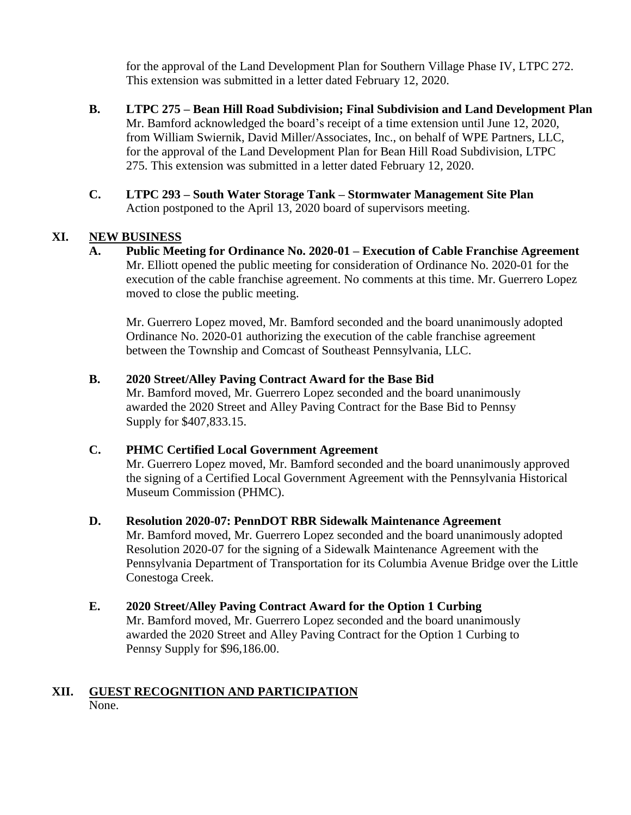for the approval of the Land Development Plan for Southern Village Phase IV, LTPC 272. This extension was submitted in a letter dated February 12, 2020.

- **B. LTPC 275 – Bean Hill Road Subdivision; Final Subdivision and Land Development Plan** Mr. Bamford acknowledged the board's receipt of a time extension until June 12, 2020, from William Swiernik, David Miller/Associates, Inc., on behalf of WPE Partners, LLC, for the approval of the Land Development Plan for Bean Hill Road Subdivision, LTPC 275. This extension was submitted in a letter dated February 12, 2020.
- **C. LTPC 293 – South Water Storage Tank – Stormwater Management Site Plan** Action postponed to the April 13, 2020 board of supervisors meeting.

### **XI. NEW BUSINESS**

**A. Public Meeting for Ordinance No. 2020-01 – Execution of Cable Franchise Agreement** Mr. Elliott opened the public meeting for consideration of Ordinance No. 2020-01 for the execution of the cable franchise agreement. No comments at this time. Mr. Guerrero Lopez moved to close the public meeting.

Mr. Guerrero Lopez moved, Mr. Bamford seconded and the board unanimously adopted Ordinance No. 2020-01 authorizing the execution of the cable franchise agreement between the Township and Comcast of Southeast Pennsylvania, LLC.

#### **B. 2020 Street/Alley Paving Contract Award for the Base Bid**

Mr. Bamford moved, Mr. Guerrero Lopez seconded and the board unanimously awarded the 2020 Street and Alley Paving Contract for the Base Bid to Pennsy Supply for \$407,833.15.

#### **C. PHMC Certified Local Government Agreement**

Mr. Guerrero Lopez moved, Mr. Bamford seconded and the board unanimously approved the signing of a Certified Local Government Agreement with the Pennsylvania Historical Museum Commission (PHMC).

#### **D. Resolution 2020-07: PennDOT RBR Sidewalk Maintenance Agreement**

Mr. Bamford moved, Mr. Guerrero Lopez seconded and the board unanimously adopted Resolution 2020-07 for the signing of a Sidewalk Maintenance Agreement with the Pennsylvania Department of Transportation for its Columbia Avenue Bridge over the Little Conestoga Creek.

#### **E. 2020 Street/Alley Paving Contract Award for the Option 1 Curbing**

Mr. Bamford moved, Mr. Guerrero Lopez seconded and the board unanimously awarded the 2020 Street and Alley Paving Contract for the Option 1 Curbing to Pennsy Supply for \$96,186.00.

#### **XII. GUEST RECOGNITION AND PARTICIPATION** None.